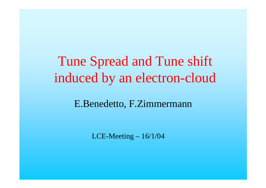# Tune Spread and Tune shift induced by an electron-cloud

#### E.Benedetto, F.Zimmermann

LCE-Meeting – 16/1/04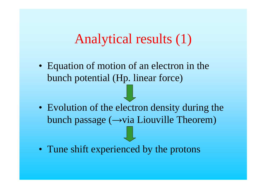### Analytical results (1)

• Equation of motion of an electron in the bunch potential (Hp. linear force)

- Evolution of the electron density during the bunch passage  $(\rightarrow$ via Liouville Theorem)
- Tune shift experienced by the protons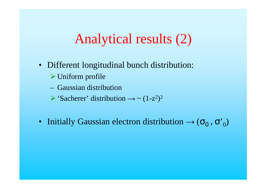## Analytical results (2)

- Different longitudinal bunch distribution:
	- $\triangleright$  Uniform profile
	- Gaussian distribution
	- $\triangleright$  'Sacherer' distribution  $\rightarrow \sim (1-z^2)$  $)^2$
- Initially Gaussian electron distribution  $\rightarrow$   $(\sigma_{0}^{},\sigma_{0}^{})$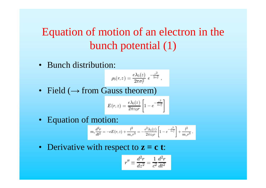#### Equation of motion of an electron in the bunch potential (1)

• Bunch distribution:

$$
\rho_b(r,z) = \frac{e\lambda_b(z)}{2\pi\sigma_r^2} e^{-\frac{r^2}{2\sigma_r^2}},
$$

• Field ( $\rightarrow$  from Gauss theorem)

$$
E(r,z) = \frac{e\lambda_b(z)}{2\pi\varepsilon_0r} \left[1 - e^{-\frac{r^2}{2\sigma_r^2}}\right]
$$

• Equation of motion:

$$
m_e \frac{d^2 r}{dt^2} = -eE(r,z) + \frac{l^2}{m_e r^3} = -\frac{e^2 \lambda_b(z)}{2 \pi \varepsilon_0 r} \left[ 1 - e^{-\frac{r^2}{2 \sigma_r^2}} \right] + \frac{l^2}{m_e r^3} \; ,
$$

• Derivative with respect to **z = c t**:

$$
r''\equiv \frac{d^2r}{dz^2}=\frac{1}{c^2}\frac{d^2r}{dt^2}
$$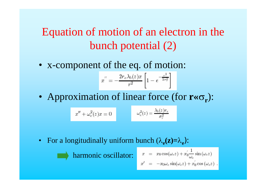#### Equation of motion of an electron in the bunch potential (2)

• x-component of the eq. of motion:

$$
x'' = -\frac{2r_e\lambda_b(z)x}{r^2} \left[1 - e^{-\frac{r^2}{2r_r^2}}\right]
$$

• Approximation of linear force (for  $\mathbf{r} \ll \sigma_{\mathbf{r}}$ ):

$$
x'' + \omega_e^2(z)x = 0 \qquad \qquad \omega_e^2(z) = \frac{\lambda_b(z)r_e}{\sigma_r^2}
$$

• For a longitudinally uniform bunch  $(\lambda_e(z)=\lambda_e)$ :



$$
x = x_0 \cos(\omega_e z) + x_0' \frac{1}{\omega_e} \sin(\omega_e z)
$$
  

$$
x' = -x_0 \omega_e \sin(\omega_e z) + x_0' \cos(\omega_e z)
$$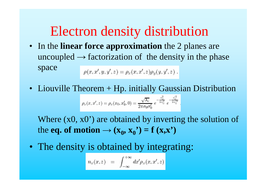# Electron density distribution

- In the **linear force approximation** the 2 planes are uncoupled  $\rightarrow$  factorization of the density in the phase space  $\rho(x, x', y, y', z) = \rho_x(x, x', z) \rho_y(y, y', z)$ .
- Liouville Theorem + Hp. initially Gaussian Distribution  $\rho_x(x,x',z) = \rho_x(x_0,x_0',0) = \frac{\sqrt{\lambda_e}}{2\pi\sigma_0\sigma_0'}\ e^{-\frac{x_0^2}{2\sigma_0^2}}\ e^{-\frac{x_0'^2}{2\sigma_0'^2}}$

Where (x0, x0') are obtained by inverting the solution of the **eq. of motion**  $\rightarrow$  ( $\mathbf{x}_0$ ,  $\mathbf{x}_0$ <sup>\*</sup>) = **f** ( $\mathbf{x}, \mathbf{x}$ <sup>\*</sup>)

• The density is obtained by integrating:

$$
n_x(x,z) = \int_{-\infty}^{+\infty} dx' \rho_x(x,x',z)
$$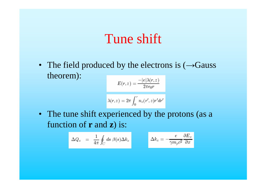### Tune shift

• The field produced by the electrons is  $(\rightarrow$  Gauss theorem):

$$
E(r,z) = \frac{-|e|\lambda(r,z)}{2\pi\epsilon_0 r}
$$

$$
\lambda(r,z) = 2\pi \int_0^r n_e(r',z)r'dr'
$$

• The tune shift experienced by the protons (as a function of **r** and **z**) is:

$$
\Delta Q_x = \frac{1}{4\pi} \oint_C ds \ \beta(s) \Delta k_x \qquad \Delta k_x = -\frac{e}{\gamma m_p c^2} \frac{\partial E_x}{\partial x}
$$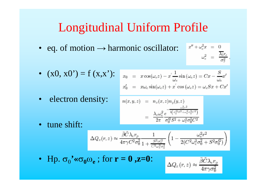### **Longitudinal Uniform Profile**

 $\begin{array}{rcl} x'' + \omega_e^2 x & = & 0 \\ \omega_e^2 & = & \frac{\overline{\lambda_b} r_e}{\sigma_e^2} \end{array}$ • eq. of motion  $\rightarrow$  harmonic oscillator:

$$
\bullet \quad (x0, x0') = f(x,x')\mathbin:
$$

$$
x_0 = x \cos(\omega_e z) - x' \frac{1}{\omega_e} \sin(\omega_e z) = Cx - \frac{S}{\omega_e} x'
$$
  

$$
x'_0 = x \omega_e \sin(\omega_e z) + x' \cos(\omega_e z) = \omega_e Sx + Cx
$$

• electron density:

$$
n(x, y, z) = n_x(x, z)n_y(y, z)
$$
  
= 
$$
\frac{\lambda_e \omega_e^2}{2\pi} \frac{e^{-\frac{\omega_e^2 \pi^2}{2(\sigma_0^2 S^2 + \omega_e^2 \sigma_0^2 C^2)}}}{\sigma_0^2 S^2 + \omega_e^2 \sigma_0^2 C^2}
$$

• tune shift:

$$
\Delta Q_x(r,z) \approx \frac{\bar{\beta}\tilde{C}\lambda_c r_p}{4\pi\gamma C^2 \sigma_0^2} \frac{1}{1 + \frac{S^2 \sigma_0'^2}{C^2 \omega_c^2 \sigma_0^2}} \left(1 - \frac{\omega_c^2 r^2}{2(C^2 \omega_c^2 \sigma_0^2 + S^2 \sigma_0'^2)}\right)
$$

• Hp.  $\sigma_0'$ <sup>'</sup> « $\sigma_0 \omega_e$ ; for  $\mathbf{r} = \mathbf{0}$ , **z**=0:

$$
\Delta Q_x(r,z) \approx \frac{\bar{\beta} \tilde{C} \lambda_e r_p}{4 \pi \gamma \sigma_0^2}
$$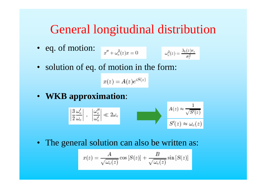#### General longitudinal distribution

• eq. of motion:  $\boldsymbol{x}^t$ 

$$
\nu + \omega_e^2(z)x = 0 \qquad \qquad \omega_e^2(z) = \frac{\lambda_b(z)r_e}{\sigma_e^2}
$$

•solution of eq. of motion in the form:

 $x(z) = A(z)e^{iS(z)}$ 

• **WKB approximation**:

$$
\left|\frac{3}{2}\frac{\omega'_e}{\omega_e}\right|, \left|\frac{\omega''_e}{\omega'_e}\right| \ll 2\omega_e
$$
\n
$$
S'(z) \approx \omega_e(z)
$$

• The general solution can also be written as:

$$
x(z) = \frac{A}{\sqrt{\omega_e(z)}} \cos [S(z)] + \frac{B}{\sqrt{\omega_e(z)}} \sin [S(z)]
$$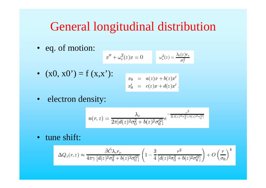#### General longitudinal distribution

• eq. of motion:

$$
x'' + \omega_e^2(z)x = 0 \qquad \omega_e^2(z) = \frac{\lambda_b(z)r_e}{\sigma_r^2}
$$

•  $(x0, x0) = f(x,x')$ :

$$
\begin{array}{rcl} x_0 & = & a(z)x + b(z)x' \\ x_0' & = & c(z)x + d(z)x' \end{array}
$$

• electron density:

$$
n(r,z)=\frac{\lambda_e}{2\pi[d(z)^2\sigma_0^2+b(z)^2\sigma_0'^2]}e^{-\frac{r^2}{2[d(z)^2\sigma_0^2+b(z)^2\sigma_0'^2]}}
$$

• tune shift:

$$
\Delta Q_x(r,z) \approx \frac{\bar{\beta} \tilde{C} \lambda_e r_p}{4 \pi \gamma \left[d(z)^2 \sigma_0^2 + b(z)^2 \sigma_0'^2\right]} \left(1 - \frac{3}{4} \frac{r^2}{\left[d(z)^2 \sigma_0^2 + b(z)^2 \sigma_0'^2\right]}\right) + O\left(\frac{r}{\sigma_0}\right)^4
$$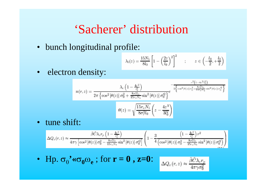#### 'Sacherer' distribution

• bunch longitudinal profile:

$$
\lambda_b(z) = \frac{15N_b}{8l_0} \left[ 1 - \left(\frac{2z}{l_0}\right)^2 \right]^2 \qquad ; \qquad z \in \left(-\frac{l_0}{2}, +\frac{l_0}{2}\right)
$$

electron density:  $\bullet$ 

$$
n(r,z) = \frac{\lambda_e \left(1 - \frac{4z^2}{l_0^2}\right)}{2\pi \left\{\cos^2\left[\theta(z)\right]\sigma_0^2 + \frac{8\sigma_e^2 l_0}{15r_e N_b}\sin^2\left[\theta(z)\right]\sigma_0'^2\right\}} e^{-\frac{r^2 \left(1 - 4z^2 l_0^2\right)}{2\left\{\cos^2\left[\theta(z)\right]\sigma_0^2 + \frac{8\sigma_e^2 l_0}{15r_e N_b}\sin^2\left[\theta(z)\right]\sigma_0'^2\right\}}}{\theta(z) = \sqrt{\frac{15r_e N_b}{8\sigma_r^2 l_0}} \left(z - \frac{4z^3}{3l_0^2}\right)}
$$

· tune shift:

$$
\Delta Q_x(r,z) \approx \frac{\bar{\beta} \tilde{C} \lambda_e r_p \left(1 - \frac{4z^2}{l_0^2}\right)}{4\pi \gamma \left[\cos^2\left[\theta(z)\right] \sigma_0^2 - \frac{8\sigma_e^2 l_0}{15r_e N_b} \sin^2\left[\theta(z)\right] \sigma_0'^2\right]} \left(1 - \frac{3}{4} \frac{\left(1 - \frac{4z^2}{l_0^2}\right) r^2}{\left(\cos^2\left[\theta(z)\right] \sigma_0^2 - \frac{8\sigma_e^2 l_0}{15r_e N_b} \sin^2\left[\theta(z)\right] \sigma_0'^2\right)}\right)
$$

• Hp.  $\sigma_0'$ <sup>'</sup> « $\sigma_0 \omega_e$ ; for  $\mathbf{r} = \mathbf{0}$ , **z**=0:

$$
\Delta Q_x(r,z) \approx \frac{\bar{\beta} \tilde{C} \lambda_e r_p}{4 \pi \gamma \sigma_0^2}
$$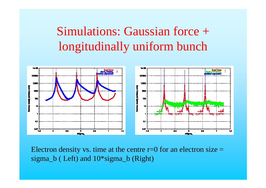## Simulations: Gaussian force + longitudinally uniform bunch



Electron density vs. time at the centre  $r=0$  for an electron size  $=$ sigma\_b ( Left) and 10\*sigma\_b (Right)